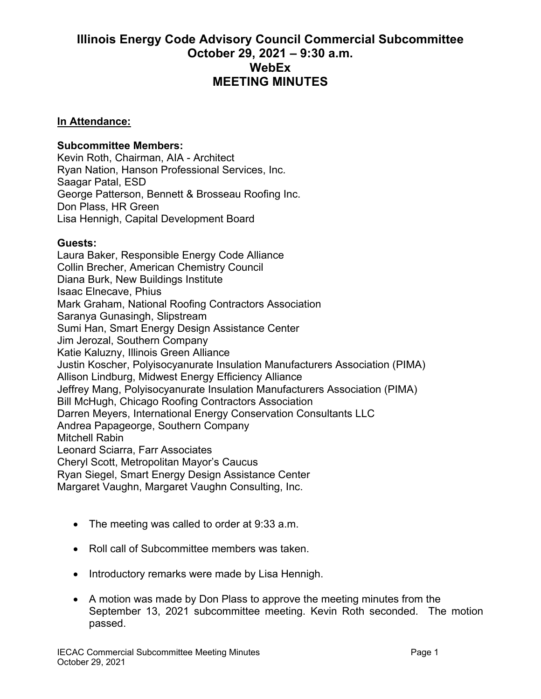## **Illinois Energy Code Advisory Council Commercial Subcommittee October 29, 2021 – 9:30 a.m. WebEx MEETING MINUTES**

## **In Attendance:**

## **Subcommittee Members:**

Kevin Roth, Chairman, AIA - Architect Ryan Nation, Hanson Professional Services, Inc. Saagar Patal, ESD George Patterson, Bennett & Brosseau Roofing Inc. Don Plass, HR Green Lisa Hennigh, Capital Development Board

## **Guests:**

Laura Baker, Responsible Energy Code Alliance Collin Brecher, American Chemistry Council Diana Burk, New Buildings Institute Isaac Elnecave, Phius Mark Graham, National Roofing Contractors Association Saranya Gunasingh, Slipstream Sumi Han, Smart Energy Design Assistance Center Jim Jerozal, Southern Company Katie Kaluzny, Illinois Green Alliance Justin Koscher, Polyisocyanurate Insulation Manufacturers Association (PIMA) Allison Lindburg, Midwest Energy Efficiency Alliance Jeffrey Mang, Polyisocyanurate Insulation Manufacturers Association (PIMA) Bill McHugh, Chicago Roofing Contractors Association Darren Meyers, International Energy Conservation Consultants LLC Andrea Papageorge, Southern Company Mitchell Rabin Leonard Sciarra, Farr Associates Cheryl Scott, Metropolitan Mayor's Caucus Ryan Siegel, Smart Energy Design Assistance Center Margaret Vaughn, Margaret Vaughn Consulting, Inc.

- The meeting was called to order at 9:33 a.m.
- Roll call of Subcommittee members was taken.
- Introductory remarks were made by Lisa Hennigh.
- A motion was made by Don Plass to approve the meeting minutes from the September 13, 2021 subcommittee meeting. Kevin Roth seconded. The motion passed.